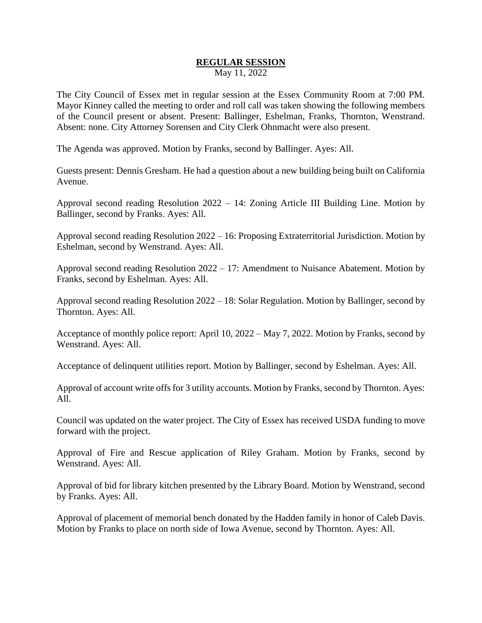## **REGULAR SESSION** May 11, 2022

The City Council of Essex met in regular session at the Essex Community Room at 7:00 PM. Mayor Kinney called the meeting to order and roll call was taken showing the following members of the Council present or absent. Present: Ballinger, Eshelman, Franks, Thornton, Wenstrand. Absent: none. City Attorney Sorensen and City Clerk Ohnmacht were also present.

The Agenda was approved. Motion by Franks, second by Ballinger. Ayes: All.

Guests present: Dennis Gresham. He had a question about a new building being built on California Avenue.

Approval second reading Resolution 2022 – 14: Zoning Article III Building Line. Motion by Ballinger, second by Franks. Ayes: All.

Approval second reading Resolution 2022 – 16: Proposing Extraterritorial Jurisdiction. Motion by Eshelman, second by Wenstrand. Ayes: All.

Approval second reading Resolution 2022 – 17: Amendment to Nuisance Abatement. Motion by Franks, second by Eshelman. Ayes: All.

Approval second reading Resolution 2022 – 18: Solar Regulation. Motion by Ballinger, second by Thornton. Ayes: All.

Acceptance of monthly police report: April 10, 2022 – May 7, 2022. Motion by Franks, second by Wenstrand. Ayes: All.

Acceptance of delinquent utilities report. Motion by Ballinger, second by Eshelman. Ayes: All.

Approval of account write offs for 3 utility accounts. Motion by Franks, second by Thornton. Ayes: All.

Council was updated on the water project. The City of Essex has received USDA funding to move forward with the project.

Approval of Fire and Rescue application of Riley Graham. Motion by Franks, second by Wenstrand. Ayes: All.

Approval of bid for library kitchen presented by the Library Board. Motion by Wenstrand, second by Franks. Ayes: All.

Approval of placement of memorial bench donated by the Hadden family in honor of Caleb Davis. Motion by Franks to place on north side of Iowa Avenue, second by Thornton. Ayes: All.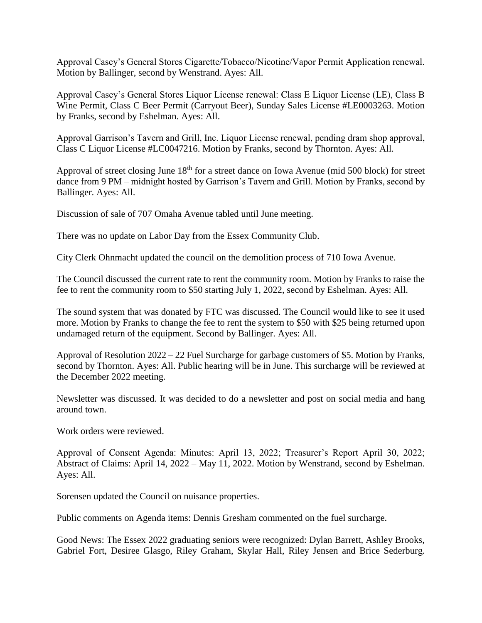Approval Casey's General Stores Cigarette/Tobacco/Nicotine/Vapor Permit Application renewal. Motion by Ballinger, second by Wenstrand. Ayes: All.

Approval Casey's General Stores Liquor License renewal: Class E Liquor License (LE), Class B Wine Permit, Class C Beer Permit (Carryout Beer), Sunday Sales License #LE0003263. Motion by Franks, second by Eshelman. Ayes: All.

Approval Garrison's Tavern and Grill, Inc. Liquor License renewal, pending dram shop approval, Class C Liquor License #LC0047216. Motion by Franks, second by Thornton. Ayes: All.

Approval of street closing June 18<sup>th</sup> for a street dance on Iowa Avenue (mid 500 block) for street dance from 9 PM – midnight hosted by Garrison's Tavern and Grill. Motion by Franks, second by Ballinger. Ayes: All.

Discussion of sale of 707 Omaha Avenue tabled until June meeting.

There was no update on Labor Day from the Essex Community Club.

City Clerk Ohnmacht updated the council on the demolition process of 710 Iowa Avenue.

The Council discussed the current rate to rent the community room. Motion by Franks to raise the fee to rent the community room to \$50 starting July 1, 2022, second by Eshelman. Ayes: All.

The sound system that was donated by FTC was discussed. The Council would like to see it used more. Motion by Franks to change the fee to rent the system to \$50 with \$25 being returned upon undamaged return of the equipment. Second by Ballinger. Ayes: All.

Approval of Resolution 2022 – 22 Fuel Surcharge for garbage customers of \$5. Motion by Franks, second by Thornton. Ayes: All. Public hearing will be in June. This surcharge will be reviewed at the December 2022 meeting.

Newsletter was discussed. It was decided to do a newsletter and post on social media and hang around town.

Work orders were reviewed.

Approval of Consent Agenda: Minutes: April 13, 2022; Treasurer's Report April 30, 2022; Abstract of Claims: April 14, 2022 – May 11, 2022. Motion by Wenstrand, second by Eshelman. Ayes: All.

Sorensen updated the Council on nuisance properties.

Public comments on Agenda items: Dennis Gresham commented on the fuel surcharge.

Good News: The Essex 2022 graduating seniors were recognized: Dylan Barrett, Ashley Brooks, Gabriel Fort, Desiree Glasgo, Riley Graham, Skylar Hall, Riley Jensen and Brice Sederburg.